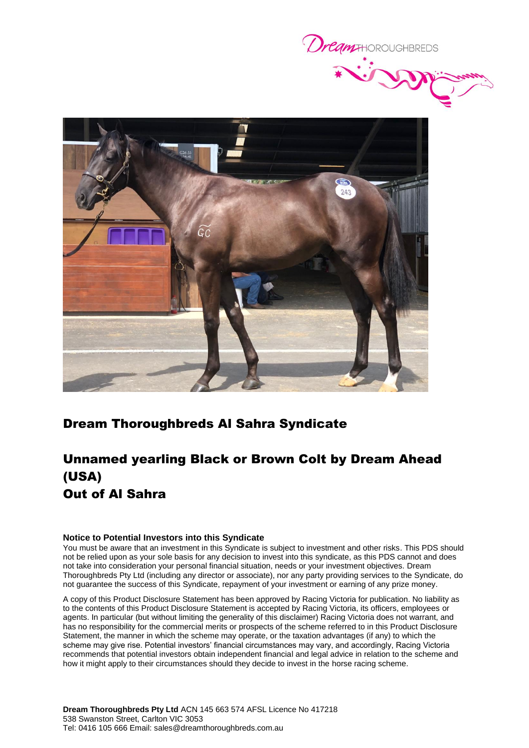



### Dream Thoroughbreds Al Sahra Syndicate

# Unnamed yearling Black or Brown Colt by Dream Ahead (USA) Out of Al Sahra

#### **Notice to Potential Investors into this Syndicate**

You must be aware that an investment in this Syndicate is subject to investment and other risks. This PDS should not be relied upon as your sole basis for any decision to invest into this syndicate, as this PDS cannot and does not take into consideration your personal financial situation, needs or your investment objectives. Dream Thoroughbreds Pty Ltd (including any director or associate), nor any party providing services to the Syndicate, do not guarantee the success of this Syndicate, repayment of your investment or earning of any prize money.

A copy of this Product Disclosure Statement has been approved by Racing Victoria for publication. No liability as to the contents of this Product Disclosure Statement is accepted by Racing Victoria, its officers, employees or agents. In particular (but without limiting the generality of this disclaimer) Racing Victoria does not warrant, and has no responsibility for the commercial merits or prospects of the scheme referred to in this Product Disclosure Statement, the manner in which the scheme may operate, or the taxation advantages (if any) to which the scheme may give rise. Potential investors' financial circumstances may vary, and accordingly, Racing Victoria recommends that potential investors obtain independent financial and legal advice in relation to the scheme and how it might apply to their circumstances should they decide to invest in the horse racing scheme.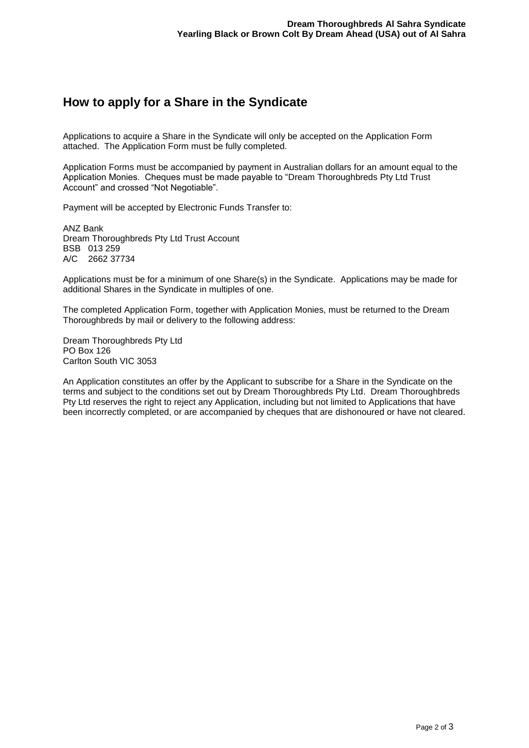## **How to apply for a Share in the Syndicate**

Applications to acquire a Share in the Syndicate will only be accepted on the Application Form attached. The Application Form must be fully completed.

Application Forms must be accompanied by payment in Australian dollars for an amount equal to the Application Monies. Cheques must be made payable to "Dream Thoroughbreds Pty Ltd Trust Account" and crossed "Not Negotiable".

Payment will be accepted by Electronic Funds Transfer to:

ANZ Bank Dream Thoroughbreds Pty Ltd Trust Account BSB 013 259 A/C 2662 37734

Applications must be for a minimum of one Share(s) in the Syndicate. Applications may be made for additional Shares in the Syndicate in multiples of one.

The completed Application Form, together with Application Monies, must be returned to the Dream Thoroughbreds by mail or delivery to the following address:

Dream Thoroughbreds Pty Ltd PO Box 126 Carlton South VIC 3053

An Application constitutes an offer by the Applicant to subscribe for a Share in the Syndicate on the terms and subject to the conditions set out by Dream Thoroughbreds Pty Ltd. Dream Thoroughbreds Pty Ltd reserves the right to reject any Application, including but not limited to Applications that have been incorrectly completed, or are accompanied by cheques that are dishonoured or have not cleared.